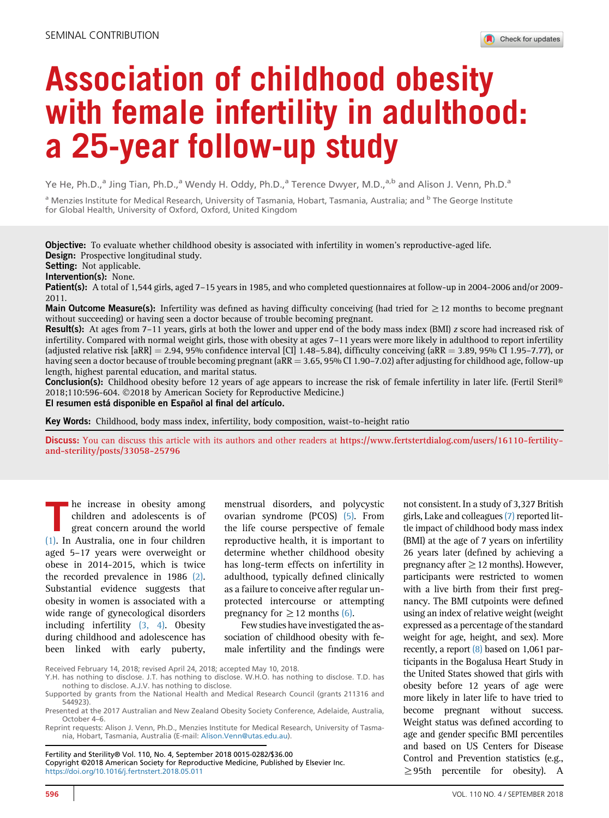# Association of childhood obesity with female infertility in adulthood: a 25-year follow-up study

Ye He, Ph.D.,<sup>a</sup> Jing Tian, Ph.D.,<sup>a</sup> Wendy H. Oddy, Ph.D.,<sup>a</sup> Terence Dwyer, M.D.,<sup>a,b</sup> and Alison J. Venn, Ph.D.<sup>a</sup>

<sup>a</sup> Menzies Institute for Medical Research, University of Tasmania, Hobart, Tasmania, Australia; and <sup>b</sup> The George Institute for Global Health, University of Oxford, Oxford, United Kingdom

Objective: To evaluate whether childhood obesity is associated with infertility in women's reproductive-aged life. **Design:** Prospective longitudinal study.

Setting: Not applicable.

Intervention(s): None.

Patient(s): A total of 1,544 girls, aged 7-15 years in 1985, and who completed questionnaires at follow-up in 2004-2006 and/or 2009-2011.

**Main Outcome Measure(s):** Infertility was defined as having difficulty conceiving (had tried for  $\geq 12$  months to become pregnant without succeeding) or having seen a doctor because of trouble becoming pregnant.

Result(s): At ages from 7–11 years, girls at both the lower and upper end of the body mass index (BMI) z score had increased risk of infertility. Compared with normal weight girls, those with obesity at ages 7–11 years were more likely in adulthood to report infertility (adjusted relative risk  $[aRR] = 2.94$ , 95% confidence interval [CI] 1.48–5.84), difficulty conceiving  $(aRR = 3.89, 95\%$  CI 1.95–7.77), or having seen a doctor because of trouble becoming pregnant (aRR = 3.65, 95% CI 1.90-7.02) after adjusting for childhood age, follow-up length, highest parental education, and marital status.

Conclusion(s): Childhood obesity before 12 years of age appears to increase the risk of female infertility in later life. (Fertil Steril® 2018;110:596-604. 2018 by American Society for Reproductive Medicine.)

El resumen está disponible en Español al final del artículo.

**Key Words:** Childhood, body mass index, infertility, body composition, waist-to-height ratio

Discuss: You can discuss this article with its authors and other readers at [https://www.fertstertdialog.com/users/16110-fertility](https://www.fertstertdialog.com/users/16110-fertility-and-sterility/posts/33058-25796)[and-sterility/posts/33058-25796](https://www.fertstertdialog.com/users/16110-fertility-and-sterility/posts/33058-25796)

The increase in obesity among<br>children and adolescents is of<br>great concern around the world children and adolescents is of great concern around the world [\(1\).](#page-7-0) In Australia, one in four children aged 5–17 years were overweight or obese in 2014-2015, which is twice the recorded prevalence in 1986 [\(2\)](#page-7-0). Substantial evidence suggests that obesity in women is associated with a wide range of gynecological disorders including infertility [\(3, 4\).](#page-7-0) Obesity during childhood and adolescence has been linked with early puberty,

menstrual disorders, and polycystic ovarian syndrome (PCOS) [\(5\).](#page-7-0) From the life course perspective of female reproductive health, it is important to determine whether childhood obesity has long-term effects on infertility in adulthood, typically defined clinically as a failure to conceive after regular unprotected intercourse or attempting pregnancy for  $\geq$  12 months [\(6\)](#page-7-0).

Few studies have investigated the association of childhood obesity with female infertility and the findings were

Received February 14, 2018; revised April 24, 2018; accepted May 10, 2018.

Y.H. has nothing to disclose. J.T. has nothing to disclose. W.H.O. has nothing to disclose. T.D. has nothing to disclose. A.J.V. has nothing to disclose.

Supported by grants from the National Health and Medical Research Council (grants 211316 and 544923).

Reprint requests: Alison J. Venn, Ph.D., Menzies Institute for Medical Research, University of Tasmania, Hobart, Tasmania, Australia (E-mail: [Alison.Venn@utas.edu.au](mailto:Alison.Venn@utas.edu.au)).

Fertility and Sterility® Vol. 110, No. 4, September 2018 0015-0282/\$36.00 Copyright ©2018 American Society for Reproductive Medicine, Published by Elsevier Inc. <https://doi.org/10.1016/j.fertnstert.2018.05.011>

not consistent. In a study of 3,327 British girls, Lake and colleagues[\(7\)](#page-7-0) reported little impact of childhood body mass index (BMI) at the age of 7 years on infertility 26 years later (defined by achieving a pregnancy after  $\geq$  12 months). However, participants were restricted to women with a live birth from their first pregnancy. The BMI cutpoints were defined using an index of relative weight (weight expressed as a percentage of the standard weight for age, height, and sex). More recently, a report  $(8)$  based on 1,061 participants in the Bogalusa Heart Study in the United States showed that girls with obesity before 12 years of age were more likely in later life to have tried to become pregnant without success. Weight status was defined according to age and gender specific BMI percentiles and based on US Centers for Disease Control and Prevention statistics (e.g.,  $\geq$ 95th percentile for obesity). A

Presented at the 2017 Australian and New Zealand Obesity Society Conference, Adelaide, Australia, October 4–6.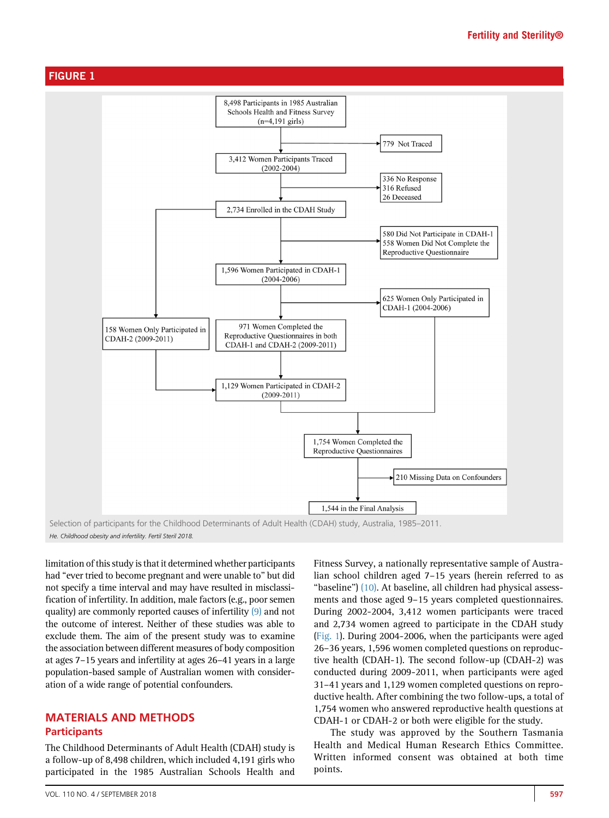

limitation of this study is that it determined whether participants had ''ever tried to become pregnant and were unable to'' but did not specify a time interval and may have resulted in misclassification of infertility. In addition, male factors (e.g., poor semen quality) are commonly reported causes of infertility [\(9\)](#page-7-0) and not the outcome of interest. Neither of these studies was able to exclude them. The aim of the present study was to examine the association between different measures of body composition at ages 7–15 years and infertility at ages 26–41 years in a large population-based sample of Australian women with consideration of a wide range of potential confounders.

# MATERIALS AND METHODS **Participants**

The Childhood Determinants of Adult Health (CDAH) study is a follow-up of 8,498 children, which included 4,191 girls who participated in the 1985 Australian Schools Health and

Fitness Survey, a nationally representative sample of Australian school children aged 7–15 years (herein referred to as "baseline") [\(10\)](#page-7-0). At baseline, all children had physical assessments and those aged 9–15 years completed questionnaires. During 2002-2004, 3,412 women participants were traced and 2,734 women agreed to participate in the CDAH study (Fig. 1). During 2004-2006, when the participants were aged 26–36 years, 1,596 women completed questions on reproductive health (CDAH-1). The second follow-up (CDAH-2) was conducted during 2009-2011, when participants were aged 31–41 years and 1,129 women completed questions on reproductive health. After combining the two follow-ups, a total of 1,754 women who answered reproductive health questions at CDAH-1 or CDAH-2 or both were eligible for the study.

The study was approved by the Southern Tasmania Health and Medical Human Research Ethics Committee. Written informed consent was obtained at both time points.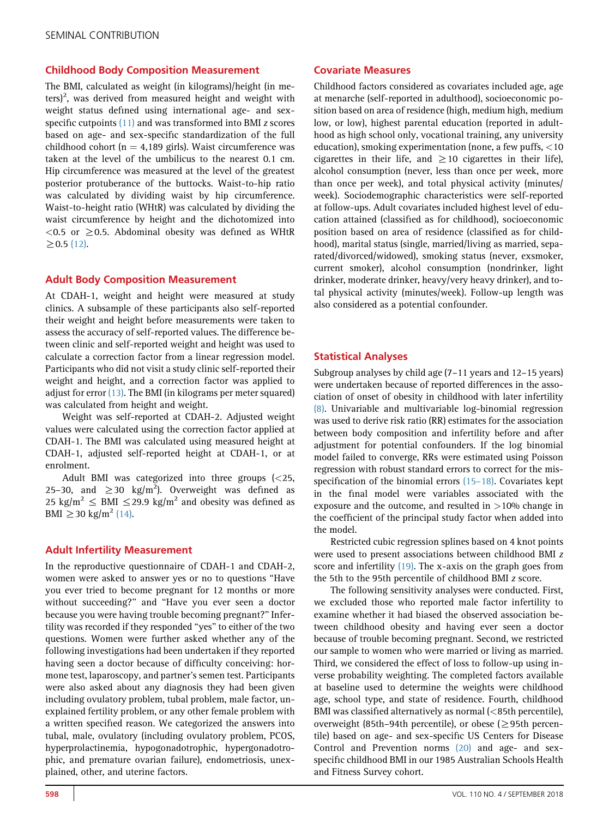#### Childhood Body Composition Measurement

The BMI, calculated as weight (in kilograms)/height (in meters)<sup>2</sup>, was derived from measured height and weight with weight status defined using international age- and sexspecific cutpoints [\(11\)](#page-7-0) and was transformed into BMI z scores based on age- and sex-specific standardization of the full childhood cohort ( $n = 4,189$  girls). Waist circumference was taken at the level of the umbilicus to the nearest 0.1 cm. Hip circumference was measured at the level of the greatest posterior protuberance of the buttocks. Waist-to-hip ratio was calculated by dividing waist by hip circumference. Waist-to-height ratio (WHtR) was calculated by dividing the waist circumference by height and the dichotomized into  $<$  0.5 or  $\geq$  0.5. Abdominal obesity was defined as WHtR  $\geq$  0.5 [\(12\).](#page-7-0)

#### Adult Body Composition Measurement

At CDAH-1, weight and height were measured at study clinics. A subsample of these participants also self-reported their weight and height before measurements were taken to assess the accuracy of self-reported values. The difference between clinic and self-reported weight and height was used to calculate a correction factor from a linear regression model. Participants who did not visit a study clinic self-reported their weight and height, and a correction factor was applied to adjust for error [\(13\)](#page-7-0). The BMI (in kilograms per meter squared) was calculated from height and weight.

Weight was self-reported at CDAH-2. Adjusted weight values were calculated using the correction factor applied at CDAH-1. The BMI was calculated using measured height at CDAH-1, adjusted self-reported height at CDAH-1, or at enrolment.

Adult BMI was categorized into three groups (<25, 25-30, and  $\geq$  30 kg/m<sup>2</sup>). Overweight was defined as 25 kg/m<sup>2</sup>  $\leq$  BMI  $\leq$  29.9 kg/m<sup>2</sup> and obesity was defined as BMI  $\geq$  30 kg/m<sup>2</sup> [\(14\).](#page-7-0)

#### Adult Infertility Measurement

In the reproductive questionnaire of CDAH-1 and CDAH-2, women were asked to answer yes or no to questions ''Have you ever tried to become pregnant for 12 months or more without succeeding?'' and ''Have you ever seen a doctor because you were having trouble becoming pregnant?'' Infertility was recorded if they responded ''yes'' to either of the two questions. Women were further asked whether any of the following investigations had been undertaken if they reported having seen a doctor because of difficulty conceiving: hormone test, laparoscopy, and partner's semen test. Participants were also asked about any diagnosis they had been given including ovulatory problem, tubal problem, male factor, unexplained fertility problem, or any other female problem with a written specified reason. We categorized the answers into tubal, male, ovulatory (including ovulatory problem, PCOS, hyperprolactinemia, hypogonadotrophic, hypergonadotrophic, and premature ovarian failure), endometriosis, unexplained, other, and uterine factors.

#### Covariate Measures

Childhood factors considered as covariates included age, age at menarche (self-reported in adulthood), socioeconomic position based on area of residence (high, medium high, medium low, or low), highest parental education (reported in adulthood as high school only, vocational training, any university education), smoking experimentation (none, a few puffs, <10 cigarettes in their life, and  $\geq$ 10 cigarettes in their life), alcohol consumption (never, less than once per week, more than once per week), and total physical activity (minutes/ week). Sociodemographic characteristics were self-reported at follow-ups. Adult covariates included highest level of education attained (classified as for childhood), socioeconomic position based on area of residence (classified as for childhood), marital status (single, married/living as married, separated/divorced/widowed), smoking status (never, exsmoker, current smoker), alcohol consumption (nondrinker, light drinker, moderate drinker, heavy/very heavy drinker), and total physical activity (minutes/week). Follow-up length was also considered as a potential confounder.

#### Statistical Analyses

Subgroup analyses by child age (7–11 years and 12–15 years) were undertaken because of reported differences in the association of onset of obesity in childhood with later infertility [\(8\).](#page-7-0) Univariable and multivariable log-binomial regression was used to derive risk ratio (RR) estimates for the association between body composition and infertility before and after adjustment for potential confounders. If the log binomial model failed to converge, RRs were estimated using Poisson regression with robust standard errors to correct for the misspecification of the binomial errors [\(15](#page-7-0)–18). Covariates kept in the final model were variables associated with the exposure and the outcome, and resulted in  $>10\%$  change in the coefficient of the principal study factor when added into the model.

Restricted cubic regression splines based on 4 knot points were used to present associations between childhood BMI z score and infertility [\(19\)](#page-7-0). The x-axis on the graph goes from the 5th to the 95th percentile of childhood BMI z score.

The following sensitivity analyses were conducted. First, we excluded those who reported male factor infertility to examine whether it had biased the observed association between childhood obesity and having ever seen a doctor because of trouble becoming pregnant. Second, we restricted our sample to women who were married or living as married. Third, we considered the effect of loss to follow-up using inverse probability weighting. The completed factors available at baseline used to determine the weights were childhood age, school type, and state of residence. Fourth, childhood BMI was classified alternatively as normal  $(<sub>85th</sub>$  percentile), overweight (85th–94th percentile), or obese ( $\geq$ 95th percentile) based on age- and sex-specific US Centers for Disease Control and Prevention norms [\(20\)](#page-7-0) and age- and sexspecific childhood BMI in our 1985 Australian Schools Health and Fitness Survey cohort.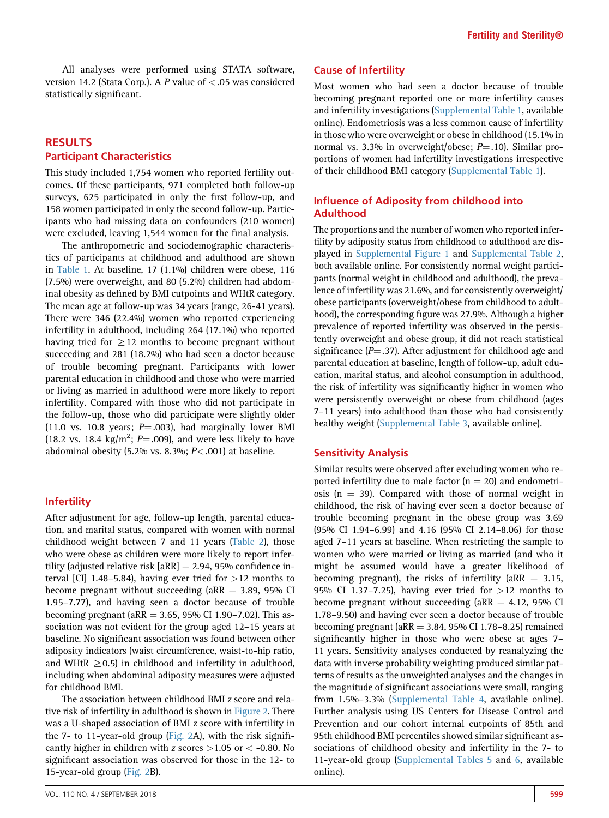All analyses were performed using STATA software, version 14.2 (Stata Corp.). A P value of  $<$  0.05 was considered statistically significant.

# RESULTS Participant Characteristics

This study included 1,754 women who reported fertility outcomes. Of these participants, 971 completed both follow-up surveys, 625 participated in only the first follow-up, and 158 women participated in only the second follow-up. Participants who had missing data on confounders (210 women) were excluded, leaving 1,544 women for the final analysis.

The anthropometric and sociodemographic characteristics of participants at childhood and adulthood are shown in [Table 1](#page-4-0). At baseline, 17 (1.1%) children were obese, 116 (7.5%) were overweight, and 80 (5.2%) children had abdominal obesity as defined by BMI cutpoints and WHtR category. The mean age at follow-up was 34 years (range, 26-41 years). There were 346 (22.4%) women who reported experiencing infertility in adulthood, including 264 (17.1%) who reported having tried for  $\geq$ 12 months to become pregnant without succeeding and 281 (18.2%) who had seen a doctor because of trouble becoming pregnant. Participants with lower parental education in childhood and those who were married or living as married in adulthood were more likely to report infertility. Compared with those who did not participate in the follow-up, those who did participate were slightly older (11.0 vs. 10.8 years;  $P = .003$ ), had marginally lower BMI (18.2 vs. 18.4 kg/m<sup>2</sup>;  $P = .009$ ), and were less likely to have abdominal obesity (5.2% vs. 8.3%;  $P$ <.001) at baseline.

## **Infertility**

After adjustment for age, follow-up length, parental education, and marital status, compared with women with normal childhood weight between 7 and 11 years ([Table 2\)](#page-5-0), those who were obese as children were more likely to report infertility (adjusted relative risk  $[aRR] = 2.94$ , 95% confidence interval [CI] 1.48-5.84), having ever tried for  $>12$  months to become pregnant without succeeding ( $aRR = 3.89$ , 95% CI 1.95–7.77), and having seen a doctor because of trouble becoming pregnant (aRR = 3.65, 95% CI 1.90–7.02). This association was not evident for the group aged 12–15 years at baseline. No significant association was found between other adiposity indicators (waist circumference, waist-to-hip ratio, and WHtR  $\geq$  0.5) in childhood and infertility in adulthood, including when abdominal adiposity measures were adjusted for childhood BMI.

The association between childhood BMI z score and relative risk of infertility in adulthood is shown in [Figure 2](#page-6-0). There was a U-shaped association of BMI z score with infertility in the 7- to 11-year-old group ([Fig. 2](#page-6-0)A), with the risk significantly higher in children with z scores  $>1.05$  or  $<$  -0.80. No significant association was observed for those in the 12- to 15-year-old group ([Fig. 2B](#page-6-0)).

#### Cause of Infertility

Most women who had seen a doctor because of trouble becoming pregnant reported one or more infertility causes and infertility investigations (Supplemental Table 1, available online). Endometriosis was a less common cause of infertility in those who were overweight or obese in childhood (15.1% in normal vs. 3.3% in overweight/obese;  $P = .10$ ). Similar proportions of women had infertility investigations irrespective of their childhood BMI category (Supplemental Table 1).

### Influence of Adiposity from childhood into **Adulthood**

The proportions and the number of women who reported infertility by adiposity status from childhood to adulthood are displayed in [Supplemental Figure 1](#page-9-0) and Supplemental Table 2, both available online. For consistently normal weight participants (normal weight in childhood and adulthood), the prevalence of infertility was 21.6%, and for consistently overweight/ obese participants (overweight/obese from childhood to adulthood), the corresponding figure was 27.9%. Although a higher prevalence of reported infertility was observed in the persistently overweight and obese group, it did not reach statistical significance  $(P = .37)$ . After adjustment for childhood age and parental education at baseline, length of follow-up, adult education, marital status, and alcohol consumption in adulthood, the risk of infertility was significantly higher in women who were persistently overweight or obese from childhood (ages 7–11 years) into adulthood than those who had consistently healthy weight (Supplemental Table 3, available online).

## Sensitivity Analysis

Similar results were observed after excluding women who reported infertility due to male factor ( $n = 20$ ) and endometriosis ( $n = 39$ ). Compared with those of normal weight in childhood, the risk of having ever seen a doctor because of trouble becoming pregnant in the obese group was 3.69 (95% CI 1.94–6.99) and 4.16 (95% CI 2.14–8.06) for those aged 7–11 years at baseline. When restricting the sample to women who were married or living as married (and who it might be assumed would have a greater likelihood of becoming pregnant), the risks of infertility ( $aRR = 3.15$ , 95% CI 1.37-7.25), having ever tried for  $>12$  months to become pregnant without succeeding ( $aRR = 4.12$ , 95% CI 1.78–9.50) and having ever seen a doctor because of trouble becoming pregnant (a $RR = 3.84$ , 95% CI 1.78–8.25) remained significantly higher in those who were obese at ages 7– 11 years. Sensitivity analyses conducted by reanalyzing the data with inverse probability weighting produced similar patterns of results as the unweighted analyses and the changes in the magnitude of significant associations were small, ranging from 1.5%–3.3% (Supplemental Table 4, available online). Further analysis using US Centers for Disease Control and Prevention and our cohort internal cutpoints of 85th and 95th childhood BMI percentiles showed similar significant associations of childhood obesity and infertility in the 7- to 11-year-old group (Supplemental Tables 5 and 6, available online).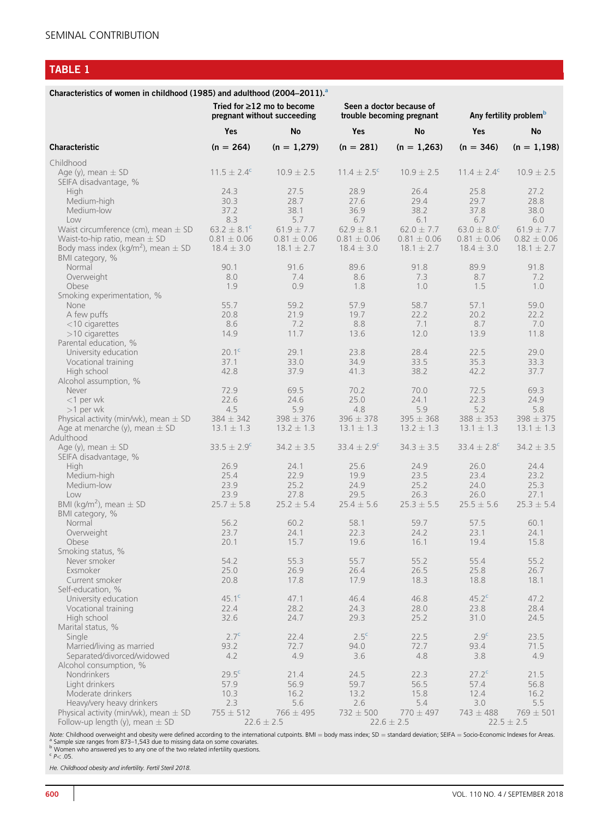# <span id="page-4-0"></span>TABLE 1

Characteristics of women in childhood (1985) and adulthood (2004–2011).<sup>a</sup>

|                                                                                                 |                                 | Tried for $\geq$ 12 mo to become<br>pregnant without succeeding |                                 | Seen a doctor because of<br>trouble becoming pregnant | Any fertility problem <sup>b</sup> |                                 |  |  |
|-------------------------------------------------------------------------------------------------|---------------------------------|-----------------------------------------------------------------|---------------------------------|-------------------------------------------------------|------------------------------------|---------------------------------|--|--|
|                                                                                                 | Yes                             | No                                                              | Yes                             | No                                                    | Yes                                | No                              |  |  |
| Characteristic                                                                                  | $(n = 264)$                     | $(n = 1,279)$                                                   | $(n = 281)$                     | $(n = 1,263)$                                         | $(n = 346)$                        | $(n = 1, 198)$                  |  |  |
| Childhood                                                                                       |                                 |                                                                 |                                 |                                                       |                                    |                                 |  |  |
| Age (y), mean $\pm$ SD<br>SEIFA disadvantage, %                                                 | $11.5 \pm 2.4^c$                | $10.9 \pm 2.5$                                                  | $11.4 \pm 2.5^c$                | $10.9 \pm 2.5$                                        | $11.4 \pm 2.4^c$                   | $10.9 \pm 2.5$                  |  |  |
| High<br>Medium-high                                                                             | 24.3<br>30.3                    | 27.5<br>28.7                                                    | 28.9<br>27.6                    | 26.4<br>29.4                                          | 25.8<br>29.7                       | 27.2<br>28.8                    |  |  |
| Medium-low                                                                                      | 37.2                            | 38.1                                                            | 36.9                            | 38.2                                                  | 37.8                               | 38.0                            |  |  |
| Low                                                                                             | 8.3                             | 5.7                                                             | 6.7                             | 6.1                                                   | 6.7                                | 6.0                             |  |  |
| Waist circumference (cm), mean $\pm$ SD                                                         | $63.2 \pm 8.1^c$                | $61.9 \pm 7.7$                                                  | $62.9 \pm 8.1$                  | $62.0 \pm 7.7$                                        | 63.0 $\pm$ 8.0 <sup>c</sup>        | $61.9 \pm 7.7$                  |  |  |
| Waist-to-hip ratio, mean $\pm$ SD                                                               | $0.81 \pm 0.06$                 | $0.81 \pm 0.06$                                                 | $0.81 \pm 0.06$                 | $0.81 \pm 0.06$                                       | $0.81 \pm 0.06$                    | $0.82 \pm 0.06$                 |  |  |
| Body mass index (kg/m <sup>2</sup> ), mean $\pm$ SD<br>BMI category, %                          | $18.4 \pm 3.0$                  | $18.1 \pm 2.7$                                                  | $18.4 \pm 3.0$                  | $18.1 \pm 2.7$                                        | $18.4 \pm 3.0$                     | $18.1 \pm 2.7$                  |  |  |
| Normal                                                                                          | 90.1                            | 91.6                                                            | 89.6                            | 91.8                                                  | 89.9                               | 91.8                            |  |  |
| Overweight                                                                                      | 8.0                             | 7.4                                                             | 8.6                             | 7.3                                                   | 8.7                                | 7.2                             |  |  |
| Obese                                                                                           | 1.9                             | 0.9                                                             | 1.8                             | 1.0                                                   | 1.5                                | 1.0                             |  |  |
| Smoking experimentation, %                                                                      |                                 |                                                                 |                                 |                                                       |                                    |                                 |  |  |
| None                                                                                            | 55.7                            | 59.2                                                            | 57.9                            | 58.7                                                  | 57.1                               | 59.0                            |  |  |
| A few puffs                                                                                     | 20.8                            | 21.9                                                            | 19.7                            | 22.2                                                  | 20.2                               | 22.2                            |  |  |
| $<$ 10 cigarettes<br>$>10$ cigarettes                                                           | 8.6<br>14.9                     | 7.2<br>11.7                                                     | 8.8<br>13.6                     | 7.1<br>12.0                                           | 8.7<br>13.9                        | 7.0<br>11.8                     |  |  |
| Parental education, %                                                                           |                                 |                                                                 |                                 |                                                       |                                    |                                 |  |  |
| University education                                                                            | 20.1 <sup>c</sup>               | 29.1                                                            | 23.8                            | 28.4                                                  | 22.5                               | 29.0                            |  |  |
| Vocational training                                                                             | 37.1                            | 33.0                                                            | 34.9                            | 33.5                                                  | 35.3                               | 33.3                            |  |  |
| High school                                                                                     | 42.8                            | 37.9                                                            | 41.3                            | 38.2                                                  | 42.2                               | 37.7                            |  |  |
| Alcohol assumption, %                                                                           |                                 |                                                                 |                                 |                                                       |                                    |                                 |  |  |
| Never                                                                                           | 72.9                            | 69.5                                                            | 70.2                            | 70.0                                                  | 72.5                               | 69.3                            |  |  |
| $<$ 1 per wk                                                                                    | 22.6                            | 24.6                                                            | 25.0                            | 24.1                                                  | 22.3                               | 24.9                            |  |  |
| $>1$ per wk                                                                                     | 4.5                             | 5.9                                                             | 4.8                             | 5.9                                                   | 5.2                                | 5.8                             |  |  |
| Physical activity (min/wk), mean $\pm$ SD<br>Age at menarche $(y)$ , mean $\pm$ SD<br>Adulthood | $384 \pm 342$<br>$13.1 \pm 1.3$ | $398 \pm 376$<br>$13.2 \pm 1.3$                                 | $396 \pm 378$<br>$13.1 \pm 1.3$ | $395 \pm 368$<br>$13.2 \pm 1.3$                       | $388 \pm 353$<br>$13.1 \pm 1.3$    | $398 \pm 375$<br>$13.1 \pm 1.3$ |  |  |
| Age (y), mean $\pm$ SD                                                                          | $33.5 \pm 2.9^c$                | $34.2 \pm 3.5$                                                  | 33.4 $\pm$ 2.9 <sup>c</sup>     | $34.3 \pm 3.5$                                        | 33.4 $\pm$ 2.8 <sup>c</sup>        | $34.2 \pm 3.5$                  |  |  |
| SEIFA disadvantage, %                                                                           | 26.9                            | 24.1                                                            |                                 |                                                       | 26.0                               |                                 |  |  |
| High<br>Medium-high                                                                             | 25.4                            | 22.9                                                            | 25.6<br>19.9                    | 24.9<br>23.5                                          | 23.4                               | 24.4<br>23.2                    |  |  |
| Medium-low                                                                                      | 23.9                            | 25.2                                                            | 24.9                            | 25.2                                                  | 24.0                               | 25.3                            |  |  |
| Low                                                                                             | 23.9                            | 27.8                                                            | 29.5                            | 26.3                                                  | 26.0                               | 27.1                            |  |  |
| BMI (kg/m <sup>2</sup> ), mean $\pm$ SD<br>BMI category, %                                      | $25.7 \pm 5.8$                  | $25.2 \pm 5.4$                                                  | $25.4 \pm 5.6$                  | $25.3 \pm 5.5$                                        | $25.5 \pm 5.6$                     | $25.3 \pm 5.4$                  |  |  |
| Normal                                                                                          | 56.2                            | 60.2                                                            | 58.1                            | 59.7                                                  | 57.5                               | 60.1                            |  |  |
| Overweight                                                                                      | 23.7                            | 24.1                                                            | 22.3                            | 24.2                                                  | 23.1                               | 24.1                            |  |  |
| Obese                                                                                           | 20.1                            | 15.7                                                            | 19.6                            | 16.1                                                  | 19.4                               | 15.8                            |  |  |
| Smoking status, %                                                                               |                                 |                                                                 |                                 |                                                       |                                    |                                 |  |  |
| Never smoker                                                                                    | 54.2                            | 55.3                                                            | 55.7                            | 55.2                                                  | 55.4                               | 55.2                            |  |  |
| Exsmoker<br>Current smoker                                                                      | 25.0<br>20.8                    | 26.9<br>17.8                                                    | 26.4<br>17.9                    | 26.5<br>18.3                                          | 25.8<br>18.8                       | 26.7<br>18.1                    |  |  |
| Self-education, %                                                                               |                                 |                                                                 |                                 |                                                       |                                    |                                 |  |  |
| University education                                                                            | $45.1^c$                        | 47.1                                                            | 46.4                            | 46.8                                                  | 45.2 <sup>c</sup>                  | 47.2                            |  |  |
| Vocational training                                                                             | 22.4                            | 28.2                                                            | 24.3                            | 28.0                                                  | 23.8                               | 28.4                            |  |  |
| High school                                                                                     | 32.6                            | 24.7                                                            | 29.3                            | 25.2                                                  | 31.0                               | 24.5                            |  |  |
| Marital status, %                                                                               |                                 |                                                                 |                                 |                                                       |                                    |                                 |  |  |
| Single                                                                                          | 2.7 <sup>c</sup>                | 22.4                                                            | 2.5 <sup>c</sup>                | 22.5                                                  | 2.9 <sup>c</sup>                   | 23.5                            |  |  |
| Married/living as married                                                                       | 93.2                            | 72.7                                                            | 94.0                            | 72.7                                                  | 93.4                               | 71.5                            |  |  |
| Separated/divorced/widowed                                                                      | 4.2                             | 4.9                                                             | 3.6                             | 4.8                                                   | 3.8                                | 4.9                             |  |  |
| Alcohol consumption, %<br>Nondrinkers                                                           | 29.5 <sup>c</sup>               | 21.4                                                            | 24.5                            | 22.3                                                  | $27.2^c$                           | 21.5                            |  |  |
| Light drinkers                                                                                  | 57.9                            | 56.9                                                            | 59.7                            | 56.5                                                  | 57.4                               | 56.8                            |  |  |
| Moderate drinkers                                                                               | 10.3                            | 16.2                                                            | 13.2                            | 15.8                                                  | 12.4                               | 16.2                            |  |  |
| Heavy/very heavy drinkers                                                                       | 2.3                             | 5.6                                                             | 2.6                             | 5.4                                                   | 3.0                                | 5.5                             |  |  |
| Physical activity (min/wk), mean $\pm$ SD                                                       | $755 \pm 512$                   | $766 \pm 495$                                                   | $732 \pm 500$                   | $770 \pm 497$                                         | $743 \pm 488$                      | $769 \pm 501$                   |  |  |
| Follow-up length (y), mean $\pm$ SD                                                             |                                 | $22.6 \pm 2.5$                                                  |                                 | $22.6 \pm 2.5$                                        | $22.5 \pm 2.5$                     |                                 |  |  |

Note: Childhood overweight and obesity were defined according to the international cutpoints. BMI = body mass index; SD = standard deviation; SEIFA = Socio-Economic Indexes for Areas.<br><sup>B</sup> Vomen who answered yes to any one

He. Childhood obesity and infertility. Fertil Steril 2018.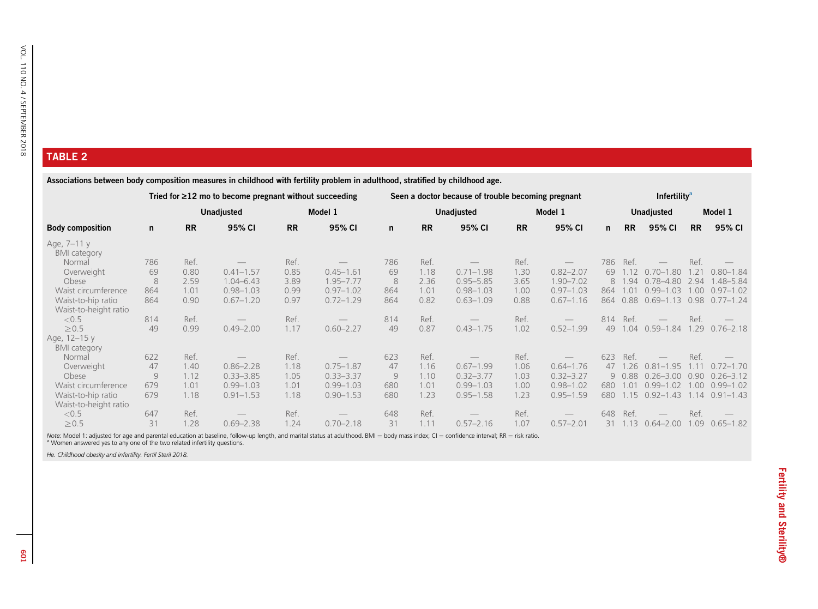#### <span id="page-5-0"></span>TABLE 2

Associations between body composition measures in childhood with fertility problem in adulthood, stratified by childhood age.

|                                    | Tried for $\geq$ 12 mo to become pregnant without succeeding |           |                   |           | Seen a doctor because of trouble becoming pregnant |              |           |                                 | <b>Infertility<sup>a</sup></b> |                                 |              |           |                        |                 |                      |
|------------------------------------|--------------------------------------------------------------|-----------|-------------------|-----------|----------------------------------------------------|--------------|-----------|---------------------------------|--------------------------------|---------------------------------|--------------|-----------|------------------------|-----------------|----------------------|
|                                    |                                                              |           | Unadjusted        |           | Model 1                                            |              |           | Unadjusted                      |                                | Model 1                         |              |           | Unadjusted             |                 | Model 1              |
| <b>Body composition</b>            | n.                                                           | <b>RR</b> | 95% CI            | <b>RR</b> | 95% CI                                             | $\mathsf{n}$ | <b>RR</b> | 95% CI                          | <b>RR</b>                      | 95% CI                          | $\mathsf{n}$ | <b>RR</b> | 95% CI                 | <b>RR</b>       | 95% CI               |
| Age, 7–11 y<br><b>BMI</b> category |                                                              |           |                   |           |                                                    |              |           |                                 |                                |                                 |              |           |                        |                 |                      |
| Normal                             | 786                                                          | Ref.      |                   | Ref.      |                                                    | 786          | Ref.      |                                 | Ref.                           |                                 | 786          | Ref.      |                        | Ref.            |                      |
| Overweight                         | 69                                                           | 0.80      | $0.41 - 1.57$     | 0.85      | $0.45 - 1.61$                                      | 69           | 1.18      | $0.71 - 1.98$                   | 1.30                           | $0.82 - 2.07$                   | 69           | 12        | $0.70 - 1$<br>.80      | 1.21            | $0.80 - 1.84$        |
| Obese                              | 8                                                            | 2.59      | $1.04 - 6.43$     | 3.89      | $1.95 - 7.77$                                      | 8            | 2.36      | $0.95 - 5.85$                   | 3.65                           | $1.90 - 7.02$                   | 8            | 94        | $0.78 - 4.80$          | 2.94            | $.48 - 5.84$         |
| Waist circumference                | 864                                                          | 1.01      | $0.98 - 1.03$     | 0.99      | $0.97 - 1.02$                                      | 864          | 1.01      | $0.98 - 1.03$                   | 1.00                           | $0.97 - 1.03$                   | 864          | .01       | $0.99 - 1.03$          | 1.00            | $0.97 - 1.02$        |
| Waist-to-hip ratio                 | 864                                                          | 0.90      | $0.67 - 1.20$     | 0.97      | $0.72 - 1.29$                                      | 864          | 0.82      | $0.63 - 1.09$                   | 0.88                           | $0.67 - 1.16$                   | 864          | 0.88      | $0.69 - 1.13$          | 0.98            | $0.77 - 1.24$        |
| Waist-to-height ratio              |                                                              |           |                   |           |                                                    |              |           |                                 |                                |                                 |              |           |                        |                 |                      |
| < 0.5                              | 814                                                          | Ref.      |                   | Ref.      |                                                    | 814          | Ref.      | $\qquad \qquad$                 | Ref.                           | $\hspace{0.1mm}-\hspace{0.1mm}$ | 814          | Ref.      |                        | Ref.            |                      |
| > 0.5                              | 49                                                           | 0.99      | $0.49 - 2.00$     | 1.17      | $0.60 - 2.27$                                      | 49           | 0.87      | $0.43 - 1.75$                   | 1.02                           | $0.52 - 1.99$                   | 49           | $1.04 -$  | $0.59 - 1.84$          |                 | $1.29$ $0.76 - 2.18$ |
| Age, 12-15 y                       |                                                              |           |                   |           |                                                    |              |           |                                 |                                |                                 |              |           |                        |                 |                      |
| <b>BMI</b> category                |                                                              |           |                   |           |                                                    |              |           |                                 |                                |                                 |              |           |                        |                 |                      |
| Normal                             | 622                                                          | Ref.      |                   | Ref.      | $\hspace{0.1mm}-\hspace{0.1mm}$                    | 623          | Ref.      | $\hspace{0.1mm}-\hspace{0.1mm}$ | Ref.                           | $\hspace{0.1mm}-\hspace{0.1mm}$ | 623          | Ref.      |                        | Ref.            |                      |
| Overweight                         | 47                                                           | 1.40      | $0.86 - 2.28$     | 1.18      | $0.75 - 1.87$                                      | 47           | 1.16      | $0.67 - 1.99$                   | 1.06                           | $0.64 - 1.76$                   | 47           | 26        | $0.81 - 1.95$          |                 | $0.72 - 1.70$        |
| Obese                              | 9                                                            | 1.12      | $0.33 - 3.85$     | 1.05      | $0.33 - 3.37$                                      | 9            | 1.10      | $0.32 - 3.77$                   | 1.03                           | $0.32 - 3.27$                   |              | 9 0.88    | $0.26 - 3.00$          | 0.90            | $0.26 - 3.12$        |
| Waist circumference                | 679                                                          | 1.01      | $0.99 - 1.03$     | 1.01      | $0.99 - 1.03$                                      | 680          | 1.01      | $0.99 - 1.03$                   | 1.00                           | $0.98 - 1.02$                   | 680          | 01        | $0.99 - 1$<br>$\Omega$ | 00 <sup>1</sup> | $0.99 - 1.02$        |
| Waist-to-hip ratio                 | 679                                                          | 1.18      | $0.91 - 1.53$     | 1.18      | $0.90 - 1.53$                                      | 680          | 1.23      | $0.95 - 1.58$                   | 1.23                           | $0.95 - 1.59$                   | 680          | 1.15      | $0.92 - 1.43$          |                 | $1.14$ $0.91 - 1.43$ |
| Waist-to-height ratio              |                                                              |           |                   |           |                                                    |              |           |                                 |                                |                                 |              |           |                        |                 |                      |
| < 0.5                              | 647                                                          | Ref.      | $\qquad \qquad -$ | Ref.      |                                                    | 648          | Ref.      | $\hspace{0.1mm}-\hspace{0.1mm}$ | Ref.                           | $\hspace{0.1mm}-\hspace{0.1mm}$ | 648          | Ref.      |                        | Ref.            |                      |
| $\geq 0.5$                         | 31                                                           | 1.28      | $0.69 - 2.38$     | 1.24      | $0.70 - 2.18$                                      | 31           | 1.11      | $0.57 - 2.16$                   | 1.07                           | $0.57 - 2.01$                   | 31           | 13        | $0.64 - 2.00$          | 1.09            | $0.65 - 1.82$        |
|                                    |                                                              |           |                   |           |                                                    |              |           |                                 |                                |                                 |              |           |                        |                 |                      |

Note: Model 1: adjusted for age and parental education at baseline, follow-up length, and marital status at adulthood. BMI = body mass index; CI = confidence interval; RR = risk ratio.<br>ª Women answered yes to any one of th

He. Childhood obesity and infertility. Fertil Steril 2018.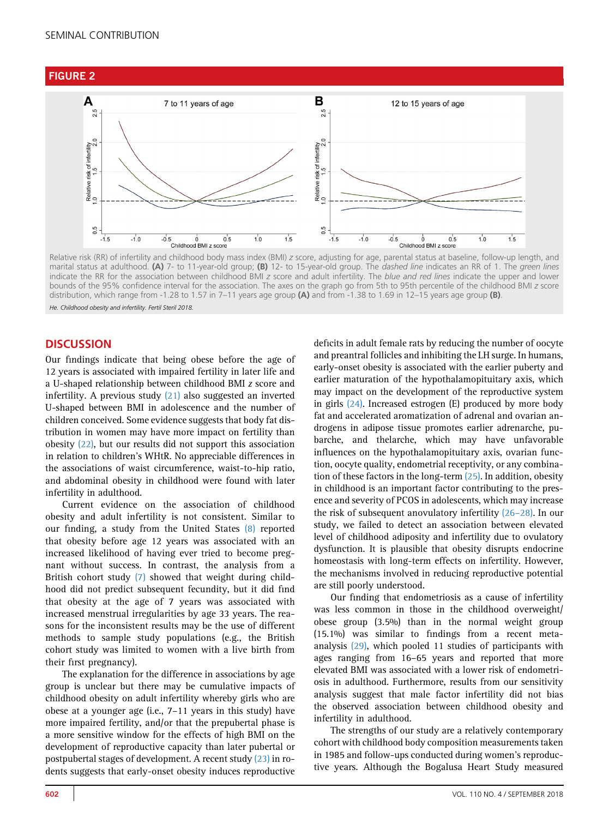<span id="page-6-0"></span>



Relative risk (RR) of infertility and childhood body mass index (BMI) z score, adjusting for age, parental status at baseline, follow-up length, and marital status at adulthood. (A) 7- to 11-year-old group; (B) 12- to 15-year-old group. The *dashed line* indicates an RR of 1. The green lines indicate the RR for the association between childhood BMI z score and adult infertility. The blue and red lines indicate the upper and lower bounds of the 95% confidence interval for the association. The axes on the graph go from 5th to 95th percentile of the childhood BMI z score distribution, which range from -1.28 to 1.57 in 7–11 years age group (A) and from -1.38 to 1.69 in 12–15 years age group (B). He. Childhood obesity and infertility. Fertil Steril 2018.

## **DISCUSSION**

Our findings indicate that being obese before the age of 12 years is associated with impaired fertility in later life and a U-shaped relationship between childhood BMI z score and infertility. A previous study [\(21\)](#page-7-0) also suggested an inverted U-shaped between BMI in adolescence and the number of children conceived. Some evidence suggests that body fat distribution in women may have more impact on fertility than obesity [\(22\),](#page-7-0) but our results did not support this association in relation to children's WHtR. No appreciable differences in the associations of waist circumference, waist-to-hip ratio, and abdominal obesity in childhood were found with later infertility in adulthood.

Current evidence on the association of childhood obesity and adult infertility is not consistent. Similar to our finding, a study from the United States [\(8\)](#page-7-0) reported that obesity before age 12 years was associated with an increased likelihood of having ever tried to become pregnant without success. In contrast, the analysis from a British cohort study [\(7\)](#page-7-0) showed that weight during childhood did not predict subsequent fecundity, but it did find that obesity at the age of 7 years was associated with increased menstrual irregularities by age 33 years. The reasons for the inconsistent results may be the use of different methods to sample study populations (e.g., the British cohort study was limited to women with a live birth from their first pregnancy).

The explanation for the difference in associations by age group is unclear but there may be cumulative impacts of childhood obesity on adult infertility whereby girls who are obese at a younger age (i.e., 7–11 years in this study) have more impaired fertility, and/or that the prepubertal phase is a more sensitive window for the effects of high BMI on the development of reproductive capacity than later pubertal or postpubertal stages of development. A recent study [\(23\)](#page-7-0) in rodents suggests that early-onset obesity induces reproductive deficits in adult female rats by reducing the number of oocyte and preantral follicles and inhibiting the LH surge. In humans, early-onset obesity is associated with the earlier puberty and earlier maturation of the hypothalamopituitary axis, which may impact on the development of the reproductive system in girls [\(24\)](#page-7-0). Increased estrogen (E) produced by more body fat and accelerated aromatization of adrenal and ovarian androgens in adipose tissue promotes earlier adrenarche, pubarche, and thelarche, which may have unfavorable influences on the hypothalamopituitary axis, ovarian function, oocyte quality, endometrial receptivity, or any combination of these factors in the long-term [\(25\).](#page-7-0) In addition, obesity in childhood is an important factor contributing to the presence and severity of PCOS in adolescents, which may increase the risk of subsequent anovulatory infertility [\(26](#page-7-0)–28). In our study, we failed to detect an association between elevated level of childhood adiposity and infertility due to ovulatory dysfunction. It is plausible that obesity disrupts endocrine homeostasis with long-term effects on infertility. However, the mechanisms involved in reducing reproductive potential are still poorly understood.

Our finding that endometriosis as a cause of infertility was less common in those in the childhood overweight/ obese group (3.5%) than in the normal weight group (15.1%) was similar to findings from a recent metaanalysis [\(29\)](#page-7-0), which pooled 11 studies of participants with ages ranging from 16–65 years and reported that more elevated BMI was associated with a lower risk of endometriosis in adulthood. Furthermore, results from our sensitivity analysis suggest that male factor infertility did not bias the observed association between childhood obesity and infertility in adulthood.

The strengths of our study are a relatively contemporary cohort with childhood body composition measurements taken in 1985 and follow-ups conducted during women's reproductive years. Although the Bogalusa Heart Study measured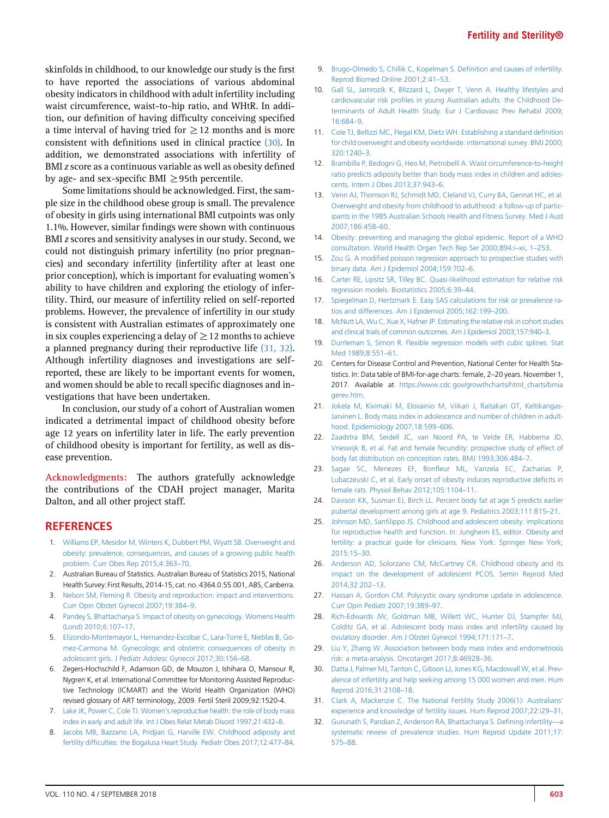<span id="page-7-0"></span>skinfolds in childhood, to our knowledge our study is the first to have reported the associations of various abdominal obesity indicators in childhood with adult infertility including waist circumference, waist-to-hip ratio, and WHtR. In addition, our definition of having difficulty conceiving specified a time interval of having tried for  $\geq$  12 months and is more consistent with definitions used in clinical practice (30). In addition, we demonstrated associations with infertility of BMI z score as a continuous variable as well as obesity defined by age- and sex-specific BMI  $\geq$ 95th percentile.

Some limitations should be acknowledged. First, the sample size in the childhood obese group is small. The prevalence of obesity in girls using international BMI cutpoints was only 1.1%. However, similar findings were shown with continuous BMI z scores and sensitivity analyses in our study. Second, we could not distinguish primary infertility (no prior pregnancies) and secondary infertility (infertility after at least one prior conception), which is important for evaluating women's ability to have children and exploring the etiology of infertility. Third, our measure of infertility relied on self-reported problems. However, the prevalence of infertility in our study is consistent with Australian estimates of approximately one in six couples experiencing a delay of  $\geq$  12 months to achieve a planned pregnancy during their reproductive life (31, 32). Although infertility diagnoses and investigations are selfreported, these are likely to be important events for women, and women should be able to recall specific diagnoses and investigations that have been undertaken.

In conclusion, our study of a cohort of Australian women indicated a detrimental impact of childhood obesity before age 12 years on infertility later in life. The early prevention of childhood obesity is important for fertility, as well as disease prevention.

Acknowledgments: The authors gratefully acknowledge the contributions of the CDAH project manager, Marita Dalton, and all other project staff.

#### **REFERENCES**

- 1. [Williams EP, Mesidor M, Winters K, Dubbert PM, Wyatt SB. Overweight and](http://refhub.elsevier.com/S0015-0282(18)30412-6/sref1) [obesity: prevalence, consequences, and causes of a growing public health](http://refhub.elsevier.com/S0015-0282(18)30412-6/sref1) [problem. Curr Obes Rep 2015;4:363](http://refhub.elsevier.com/S0015-0282(18)30412-6/sref1)–70.
- 2. Australian Bureau of Statistics. Australian Bureau of Statistics 2015, National Health Survey: First Results, 2014-15, cat. no. 4364.0.55.001, ABS, Canberra.
- 3. [Nelson SM, Fleming R. Obesity and reproduction: impact and interventions.](http://refhub.elsevier.com/S0015-0282(18)30412-6/sref3) [Curr Opin Obstet Gynecol 2007;19:384](http://refhub.elsevier.com/S0015-0282(18)30412-6/sref3)–9.
- 4. [Pandey S, Bhattacharya S. Impact of obesity on gynecology. Womens Health](http://refhub.elsevier.com/S0015-0282(18)30412-6/sref4) [\(Lond\) 2010;6:107](http://refhub.elsevier.com/S0015-0282(18)30412-6/sref4)–17.
- 5. [Elizondo-Montemayor L, Hernandez-Escobar C, Lara-Torre E, Nieblas B, Go](http://refhub.elsevier.com/S0015-0282(18)30412-6/sref5)[mez-Carmona M. Gynecologic and obstetric consequences of obesity in](http://refhub.elsevier.com/S0015-0282(18)30412-6/sref5) [adolescent girls. J Pediatr Adolesc Gynecol 2017;30:156](http://refhub.elsevier.com/S0015-0282(18)30412-6/sref5)–68.
- 6. Zegers-Hochschild F, Adamson GD, de Mouzon J, Ishihara O, Mansour R, Nygren K, et al. International Committee for Monitoring Assisted Reproductive Technology (ICMART) and the World Health Organization (WHO) revised glossary of ART terminology, 2009. Fertil Steril 2009;92:1520-4.
- 7. [Lake JK, Power C, Cole TJ. Women's reproductive health: the role of body mass](http://refhub.elsevier.com/S0015-0282(18)30412-6/sref7) [index in early and adult life. Int J Obes Relat Metab Disord 1997;21:432](http://refhub.elsevier.com/S0015-0282(18)30412-6/sref7)–8.
- 8. [Jacobs MB, Bazzano LA, Pridjian G, Harville EW. Childhood adiposity and](http://refhub.elsevier.com/S0015-0282(18)30412-6/sref8) fertility diffi[culties: the Bogalusa Heart Study. Pediatr Obes 2017;12:477](http://refhub.elsevier.com/S0015-0282(18)30412-6/sref8)–84.
- 9. [Brugo-Olmedo S, Chillik C, Kopelman S. De](http://refhub.elsevier.com/S0015-0282(18)30412-6/sref9)finition and causes of infertility. [Reprod Biomed Online 2001;2:41](http://refhub.elsevier.com/S0015-0282(18)30412-6/sref9)–53.
- 10. [Gall SL, Jamrozik K, Blizzard L, Dwyer T, Venn A. Healthy lifestyles and](http://refhub.elsevier.com/S0015-0282(18)30412-6/sref10) cardiovascular risk profi[les in young Australian adults: the Childhood De](http://refhub.elsevier.com/S0015-0282(18)30412-6/sref10)[terminants of Adult Health Study. Eur J Cardiovasc Prev Rehabil 2009;](http://refhub.elsevier.com/S0015-0282(18)30412-6/sref10) [16:684](http://refhub.elsevier.com/S0015-0282(18)30412-6/sref10)–9.
- 11. [Cole TJ, Bellizzi MC, Flegal KM, Dietz WH. Establishing a standard de](http://refhub.elsevier.com/S0015-0282(18)30412-6/sref11)finition [for child overweight and obesity worldwide: international survey. BMJ 2000;](http://refhub.elsevier.com/S0015-0282(18)30412-6/sref11) [320:1240](http://refhub.elsevier.com/S0015-0282(18)30412-6/sref11)–3.
- 12. [Brambilla P, Bedogni G, Heo M, Pietrobelli A. Waist circumference-to-height](http://refhub.elsevier.com/S0015-0282(18)30412-6/sref12) [ratio predicts adiposity better than body mass index in children and adoles](http://refhub.elsevier.com/S0015-0282(18)30412-6/sref12)[cents. Intern J Obes 2013;37:943](http://refhub.elsevier.com/S0015-0282(18)30412-6/sref12)–6.
- 13. [Venn AJ, Thomson RJ, Schmidt MD, Cleland VJ, Curry BA, Gennat HC, et al.](http://refhub.elsevier.com/S0015-0282(18)30412-6/sref13) [Overweight and obesity from childhood to adulthood: a follow-up of partic](http://refhub.elsevier.com/S0015-0282(18)30412-6/sref13)[ipants in the 1985 Australian Schools Health and Fitness Survey. Med J Aust](http://refhub.elsevier.com/S0015-0282(18)30412-6/sref13) [2007;186:458](http://refhub.elsevier.com/S0015-0282(18)30412-6/sref13)–60.
- 14. [Obesity: preventing and managing the global epidemic. Report of a WHO](http://refhub.elsevier.com/S0015-0282(18)30412-6/sref14) [consultation. World Health Organ Tech Rep Ser 2000;894:i](http://refhub.elsevier.com/S0015-0282(18)30412-6/sref14)–xii, 1–253.
- 15. Zou G. A modifi[ed poisson regression approach to prospective studies with](http://refhub.elsevier.com/S0015-0282(18)30412-6/sref15) [binary data. Am J Epidemiol 2004;159:702](http://refhub.elsevier.com/S0015-0282(18)30412-6/sref15)–6.
- 16. [Carter RE, Lipsitz SR, Tilley BC. Quasi-likelihood estimation for relative risk](http://refhub.elsevier.com/S0015-0282(18)30412-6/sref16) [regression models. Biostatistics 2005;6:39](http://refhub.elsevier.com/S0015-0282(18)30412-6/sref16)–44.
- 17. [Spiegelman D, Hertzmark E. Easy SAS calculations for risk or prevalence ra](http://refhub.elsevier.com/S0015-0282(18)30412-6/sref17)[tios and differences. Am J Epidemiol 2005;162:199](http://refhub.elsevier.com/S0015-0282(18)30412-6/sref17)–200.
- 18. [McNutt LA, Wu C, Xue X, Hafner JP. Estimating the relative risk in cohort studies](http://refhub.elsevier.com/S0015-0282(18)30412-6/sref18) [and clinical trials of common outcomes. Am J Epidemiol 2003;157:940](http://refhub.elsevier.com/S0015-0282(18)30412-6/sref18)–3.
- 19. [Durrleman S, Simon R. Flexible regression models with cubic splines. Stat](http://refhub.elsevier.com/S0015-0282(18)30412-6/sref19) [Med 1989;8:551](http://refhub.elsevier.com/S0015-0282(18)30412-6/sref19)–61.
- 20. Centers for Disease Control and Prevention, National Center for Health Statistics. In: Data table of BMI-for-age charts: female, 2–20 years. November 1, 2017. Available at [https://www.cdc.gov/growthcharts/html\\_charts/bmia](https://www.cdc.gov/growthcharts/html_charts/bmiagerev.htm) [gerev.htm](https://www.cdc.gov/growthcharts/html_charts/bmiagerev.htm).
- 21. [Jokela M, Kivimaki M, Elovainio M, Viikari J, Raitakari OT, Keltikangas-](http://refhub.elsevier.com/S0015-0282(18)30412-6/sref21)[Jarvinen L. Body mass index in adolescence and number of children in adult](http://refhub.elsevier.com/S0015-0282(18)30412-6/sref21)[hood. Epidemiology 2007;18:599](http://refhub.elsevier.com/S0015-0282(18)30412-6/sref21)–606.
- 22. [Zaadstra BM, Seidell JC, van Noord PA, te Velde ER, Habbema JD,](http://refhub.elsevier.com/S0015-0282(18)30412-6/sref22) [Vrieswijk B, et al. Fat and female fecundity: prospective study of effect of](http://refhub.elsevier.com/S0015-0282(18)30412-6/sref22) [body fat distribution on conception rates. BMJ 1993;306:484](http://refhub.elsevier.com/S0015-0282(18)30412-6/sref22)–7.
- 23. Sagae SC, Menezes EF, Bonfl[eur ML, Vanzela EC, Zacharias P,](http://refhub.elsevier.com/S0015-0282(18)30412-6/sref23) [Lubaczeuski C, et al. Early onset of obesity induces reproductive de](http://refhub.elsevier.com/S0015-0282(18)30412-6/sref23)ficits in [female rats. Physiol Behav 2012;105:1104](http://refhub.elsevier.com/S0015-0282(18)30412-6/sref23)–11.
- 24. [Davison KK, Susman EJ, Birch LL. Percent body fat at age 5 predicts earlier](http://refhub.elsevier.com/S0015-0282(18)30412-6/sref24) [pubertal development among girls at age 9. Pediatrics 2003;111:815](http://refhub.elsevier.com/S0015-0282(18)30412-6/sref24)–21.
- 25. Johnson MD, Sanfi[lippo JS. Childhood and adolescent obesity: implications](http://refhub.elsevier.com/S0015-0282(18)30412-6/sref25) [for reproductive health and function. In: Jungheim ES, editor. Obesity and](http://refhub.elsevier.com/S0015-0282(18)30412-6/sref25) [fertility: a practical guide for clinicians. New York: Springer New York;](http://refhub.elsevier.com/S0015-0282(18)30412-6/sref25) [2015:15](http://refhub.elsevier.com/S0015-0282(18)30412-6/sref25)–30.
- 26. [Anderson AD, Solorzano CM, McCartney CR. Childhood obesity and its](http://refhub.elsevier.com/S0015-0282(18)30412-6/sref26) [impact on the development of adolescent PCOS. Semin Reprod Med](http://refhub.elsevier.com/S0015-0282(18)30412-6/sref26) [2014;32:202](http://refhub.elsevier.com/S0015-0282(18)30412-6/sref26)–13.
- 27. [Hassan A, Gordon CM. Polycystic ovary syndrome update in adolescence.](http://refhub.elsevier.com/S0015-0282(18)30412-6/sref27) [Curr Opin Pediatr 2007;19:389](http://refhub.elsevier.com/S0015-0282(18)30412-6/sref27)–97.
- 28. [Rich-Edwards JW, Goldman MB, Willett WC, Hunter DJ, Stampfer MJ,](http://refhub.elsevier.com/S0015-0282(18)30412-6/sref28) [Colditz GA, et al. Adolescent body mass index and infertility caused by](http://refhub.elsevier.com/S0015-0282(18)30412-6/sref28) [ovulatory disorder. Am J Obstet Gynecol 1994;171:171](http://refhub.elsevier.com/S0015-0282(18)30412-6/sref28)–7.
- 29. [Liu Y, Zhang W. Association between body mass index and endometriosis](http://refhub.elsevier.com/S0015-0282(18)30412-6/sref29) [risk: a meta-analysis. Oncotarget 2017;8:46928](http://refhub.elsevier.com/S0015-0282(18)30412-6/sref29)–36.
- 30. [Datta J, Palmer MJ, Tanton C, Gibson LJ, Jones KG, Macdowall W, et al. Prev](http://refhub.elsevier.com/S0015-0282(18)30412-6/sref30)[alence of infertility and help seeking among 15 000 women and men. Hum](http://refhub.elsevier.com/S0015-0282(18)30412-6/sref30) [Reprod 2016;31:2108](http://refhub.elsevier.com/S0015-0282(18)30412-6/sref30)–18.
- 31. [Clark A, Mackenzie C. The National Fertility Study 2006\(1\): Australians'](http://refhub.elsevier.com/S0015-0282(18)30412-6/sref31) [experience and knowledge of fertility issues. Hum Reprod 2007;22:i29](http://refhub.elsevier.com/S0015-0282(18)30412-6/sref31)–31.
- 32. [Gurunath S, Pandian Z, Anderson RA, Bhattacharya S. De](http://refhub.elsevier.com/S0015-0282(18)30412-6/sref32)fining infertility—a [systematic review of prevalence studies. Hum Reprod Update 2011;17:](http://refhub.elsevier.com/S0015-0282(18)30412-6/sref32) [575](http://refhub.elsevier.com/S0015-0282(18)30412-6/sref32)–88.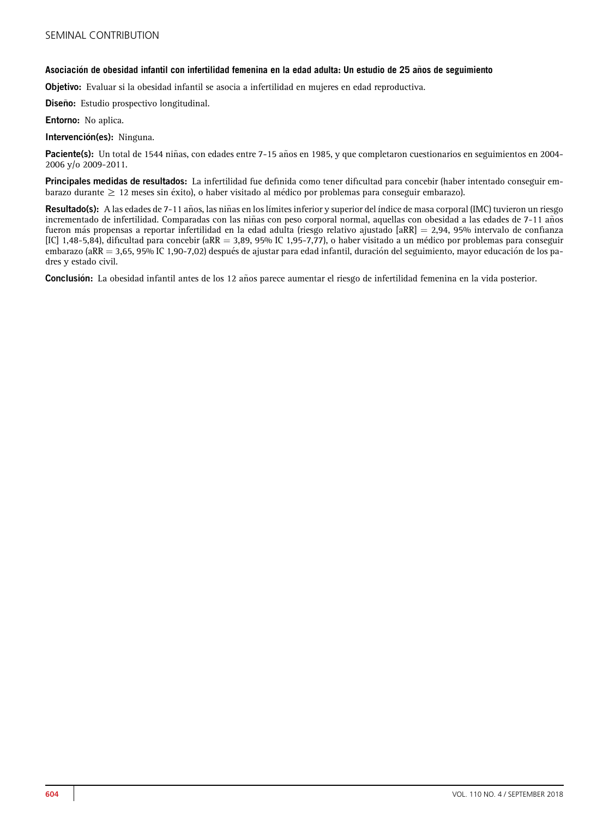#### Asociación de obesidad infantil con infertilidad femenina en la edad adulta: Un estudio de 25 años de seguimiento

Objetivo: Evaluar si la obesidad infantil se asocia a infertilidad en mujeres en edad reproductiva.

Diseño: Estudio prospectivo longitudinal.

Entorno: No aplica.

Intervención(es): Ninguna.

Paciente(s): Un total de 1544 niñas, con edades entre 7-15 años en 1985, y que completaron cuestionarios en seguimientos en 2004-2006 y/o 2009-2011.

Principales medidas de resultados: La infertilidad fue definida como tener dificultad para concebir (haber intentado conseguir embarazo durante  $\geq 12$  meses sin éxito), o haber visitado al médico por problemas para conseguir embarazo).

Resultado(s): A las edades de 7-11 años, las niñas en los límites inferior y superior del índice de masa corporal (IMC) tuvieron un riesgo incrementado de infertilidad. Comparadas con las niñas con peso corporal normal, aquellas con obesidad a las edades de 7-11 años fueron más propensas a reportar infertilidad en la edad adulta (riesgo relativo ajustado  $[ARR] = 2,94, 95%$  intervalo de confianza [IC] 1,48-5,84), dificultad para concebir (aRR = 3,89, 95% IC 1,95-7,77), o haber visitado a un médico por problemas para conseguir embarazo (aRR = 3,65, 95% IC 1,90-7,02) después de ajustar para edad infantil, duración del seguimiento, mayor educación de los padres y estado civil.

Conclusión: La obesidad infantil antes de los 12 años parece aumentar el riesgo de infertilidad femenina en la vida posterior.